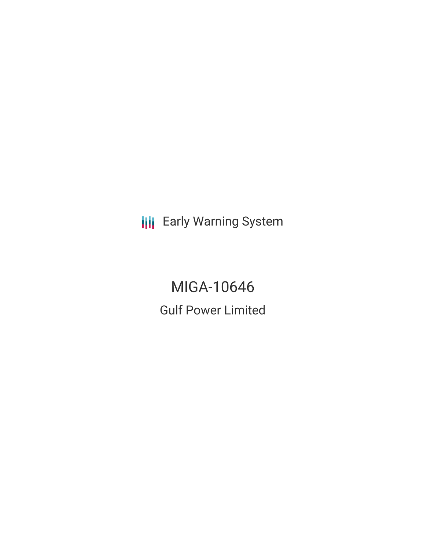**III** Early Warning System

MIGA-10646 Gulf Power Limited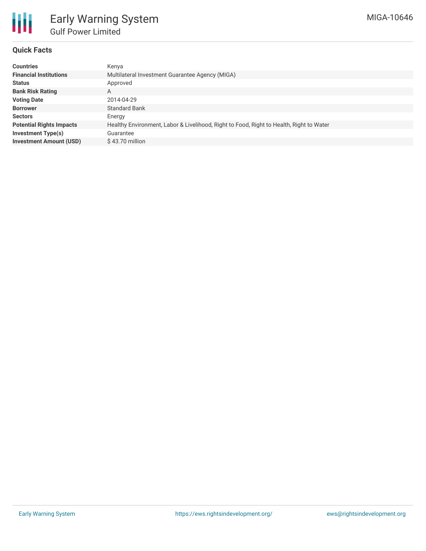

## **Quick Facts**

| <b>Countries</b>                | Kenya                                                                                   |  |  |  |  |
|---------------------------------|-----------------------------------------------------------------------------------------|--|--|--|--|
| <b>Financial Institutions</b>   | Multilateral Investment Guarantee Agency (MIGA)                                         |  |  |  |  |
| <b>Status</b>                   | Approved                                                                                |  |  |  |  |
| <b>Bank Risk Rating</b>         | A                                                                                       |  |  |  |  |
| <b>Voting Date</b>              | 2014-04-29                                                                              |  |  |  |  |
| <b>Borrower</b>                 | <b>Standard Bank</b>                                                                    |  |  |  |  |
| <b>Sectors</b>                  | Energy                                                                                  |  |  |  |  |
| <b>Potential Rights Impacts</b> | Healthy Environment, Labor & Livelihood, Right to Food, Right to Health, Right to Water |  |  |  |  |
| Investment Type(s)              | Guarantee                                                                               |  |  |  |  |
| <b>Investment Amount (USD)</b>  | $$43.70$ million                                                                        |  |  |  |  |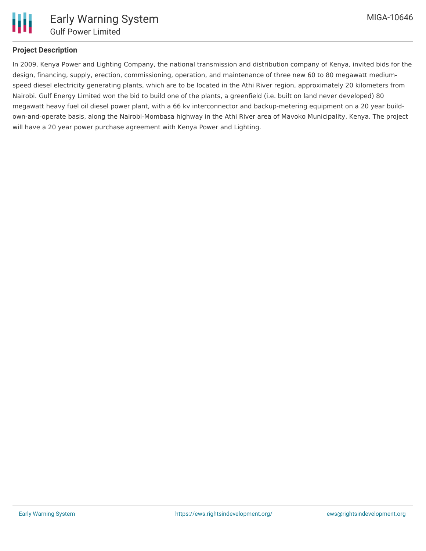

# **Project Description**

In 2009, Kenya Power and Lighting Company, the national transmission and distribution company of Kenya, invited bids for the design, financing, supply, erection, commissioning, operation, and maintenance of three new 60 to 80 megawatt mediumspeed diesel electricity generating plants, which are to be located in the Athi River region, approximately 20 kilometers from Nairobi. Gulf Energy Limited won the bid to build one of the plants, a greenfield (i.e. built on land never developed) 80 megawatt heavy fuel oil diesel power plant, with a 66 kv interconnector and backup-metering equipment on a 20 year buildown-and-operate basis, along the Nairobi-Mombasa highway in the Athi River area of Mavoko Municipality, Kenya. The project will have a 20 year power purchase agreement with Kenya Power and Lighting.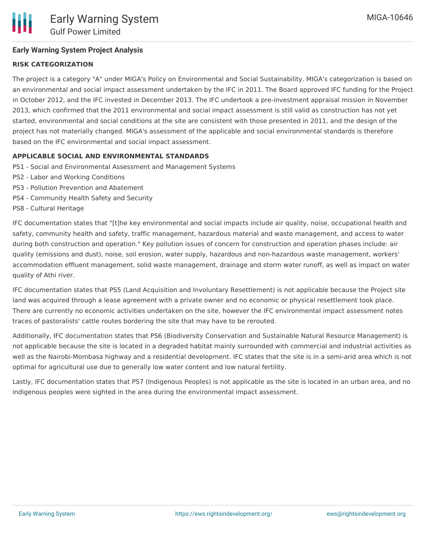# **Early Warning System Project Analysis**

# **RISK CATEGORIZATION**

The project is a category "A" under MIGA's Policy on Environmental and Social Sustainability. MIGA's categorization is based on an environmental and social impact assessment undertaken by the IFC in 2011. The Board approved IFC funding for the Project in October 2012, and the IFC invested in December 2013. The IFC undertook a pre-investment appraisal mission in November 2013, which confirmed that the 2011 environmental and social impact assessment is still valid as construction has not yet started, environmental and social conditions at the site are consistent with those presented in 2011, and the design of the project has not materially changed. MIGA's assessment of the applicable and social environmental standards is therefore based on the IFC environmental and social impact assessment.

## **APPLICABLE SOCIAL AND ENVIRONMENTAL STANDARDS**

- PS1 Social and Environmental Assessment and Management Systems
- PS2 Labor and Working Conditions
- PS3 Pollution Prevention and Abatement
- PS4 Community Health Safety and Security
- PS8 Cultural Heritage

IFC documentation states that "[t]he key environmental and social impacts include air quality, noise, occupational health and safety, community health and safety, traffic management, hazardous material and waste management, and access to water during both construction and operation." Key pollution issues of concern for construction and operation phases include: air quality (emissions and dust), noise, soil erosion, water supply, hazardous and non-hazardous waste management, workers' accommodation effluent management, solid waste management, drainage and storm water runoff, as well as impact on water quality of Athi river.

IFC documentation states that PS5 (Land Acquisition and Involuntary Resettlement) is not applicable because the Project site land was acquired through a lease agreement with a private owner and no economic or physical resettlement took place. There are currently no economic activities undertaken on the site, however the IFC environmental impact assessment notes traces of pastoralists' cattle routes bordering the site that may have to be rerouted.

Additionally, IFC documentation states that PS6 (Biodiversity Conservation and Sustainable Natural Resource Management) is not applicable because the site is located in a degraded habitat mainly surrounded with commercial and industrial activities as well as the Nairobi-Mombasa highway and a residential development. IFC states that the site is in a semi-arid area which is not optimal for agricultural use due to generally low water content and low natural fertility.

Lastly, IFC documentation states that PS7 (Indigenous Peoples) is not applicable as the site is located in an urban area, and no indigenous peoples were sighted in the area during the environmental impact assessment.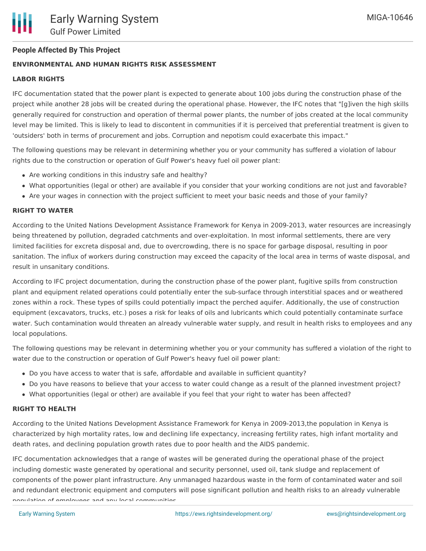## **People Affected By This Project**

## **ENVIRONMENTAL AND HUMAN RIGHTS RISK ASSESSMENT**

#### **LABOR RIGHTS**

IFC documentation stated that the power plant is expected to generate about 100 jobs during the construction phase of the project while another 28 jobs will be created during the operational phase. However, the IFC notes that "[g]iven the high skills generally required for construction and operation of thermal power plants, the number of jobs created at the local community level may be limited. This is likely to lead to discontent in communities if it is perceived that preferential treatment is given to 'outsiders' both in terms of procurement and jobs. Corruption and nepotism could exacerbate this impact."

The following questions may be relevant in determining whether you or your community has suffered a violation of labour rights due to the construction or operation of Gulf Power's heavy fuel oil power plant:

- Are working conditions in this industry safe and healthy?
- What opportunities (legal or other) are available if you consider that your working conditions are not just and favorable?
- Are your wages in connection with the project sufficient to meet your basic needs and those of your family?

#### **RIGHT TO WATER**

According to the United Nations Development Assistance Framework for Kenya in 2009-2013, water resources are increasingly being threatened by pollution, degraded catchments and over-exploitation. In most informal settlements, there are very limited facilities for excreta disposal and, due to overcrowding, there is no space for garbage disposal, resulting in poor sanitation. The influx of workers during construction may exceed the capacity of the local area in terms of waste disposal, and result in unsanitary conditions.

According to IFC project documentation, during the construction phase of the power plant, fugitive spills from construction plant and equipment related operations could potentially enter the sub-surface through interstitial spaces and or weathered zones within a rock. These types of spills could potentially impact the perched aquifer. Additionally, the use of construction equipment (excavators, trucks, etc.) poses a risk for leaks of oils and lubricants which could potentially contaminate surface water. Such contamination would threaten an already vulnerable water supply, and result in health risks to employees and any local populations.

The following questions may be relevant in determining whether you or your community has suffered a violation of the right to water due to the construction or operation of Gulf Power's heavy fuel oil power plant:

- Do you have access to water that is safe, affordable and available in sufficient quantity?
- Do you have reasons to believe that your access to water could change as a result of the planned investment project?
- What opportunities (legal or other) are available if you feel that your right to water has been affected?

#### **RIGHT TO HEALTH**

According to the United Nations Development Assistance Framework for Kenya in 2009-2013,the population in Kenya is characterized by high mortality rates, low and declining life expectancy, increasing fertility rates, high infant mortality and death rates, and declining population growth rates due to poor health and the AIDS pandemic.

IFC documentation acknowledges that a range of wastes will be generated during the operational phase of the project including domestic waste generated by operational and security personnel, used oil, tank sludge and replacement of components of the power plant infrastructure. Any unmanaged hazardous waste in the form of contaminated water and soil and redundant electronic equipment and computers will pose significant pollution and health risks to an already vulnerable population of employees and any local communities.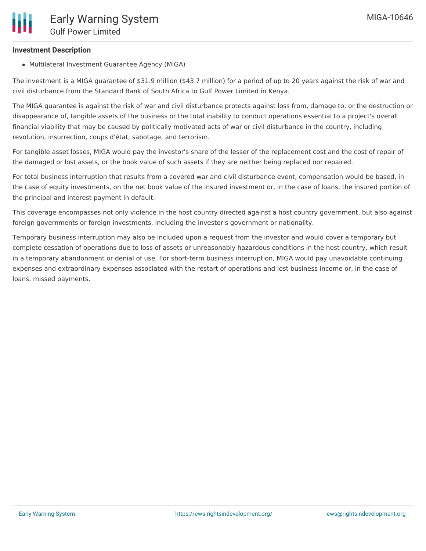## **Investment Description**

Multilateral Investment Guarantee Agency (MIGA)

The investment is a MIGA guarantee of \$31.9 million (\$43.7 million) for a period of up to 20 years against the risk of war and civil disturbance from the Standard Bank of South Africa to Gulf Power Limited in Kenya.

The MIGA guarantee is against the risk of war and civil disturbance protects against loss from, damage to, or the destruction or disappearance of, tangible assets of the business or the total inability to conduct operations essential to a project's overall financial viability that may be caused by politically motivated acts of war or civil disturbance in the country, including revolution, insurrection, coups d'état, sabotage, and terrorism.

For tangible asset losses, MIGA would pay the investor's share of the lesser of the replacement cost and the cost of repair of the damaged or lost assets, or the book value of such assets if they are neither being replaced nor repaired.

For total business interruption that results from a covered war and civil disturbance event, compensation would be based, in the case of equity investments, on the net book value of the insured investment or, in the case of loans, the insured portion of the principal and interest payment in default.

This coverage encompasses not only violence in the host country directed against a host country government, but also against foreign governments or foreign investments, including the investor's government or nationality.

Temporary business interruption may also be included upon a request from the investor and would cover a temporary but complete cessation of operations due to loss of assets or unreasonably hazardous conditions in the host country, which result in a temporary abandonment or denial of use. For short-term business interruption, MIGA would pay unavoidable continuing expenses and extraordinary expenses associated with the restart of operations and lost business income or, in the case of loans, missed payments.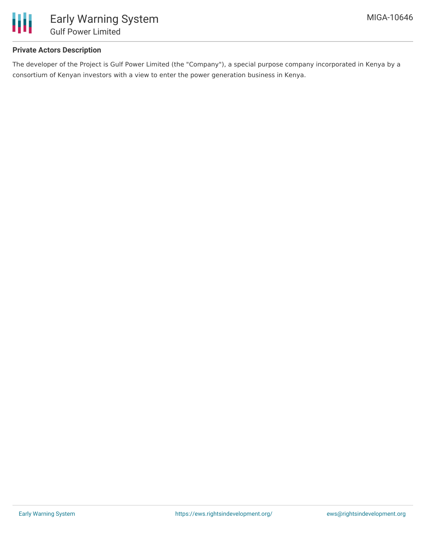

# **Private Actors Description**

The developer of the Project is Gulf Power Limited (the "Company"), a special purpose company incorporated in Kenya by a consortium of Kenyan investors with a view to enter the power generation business in Kenya.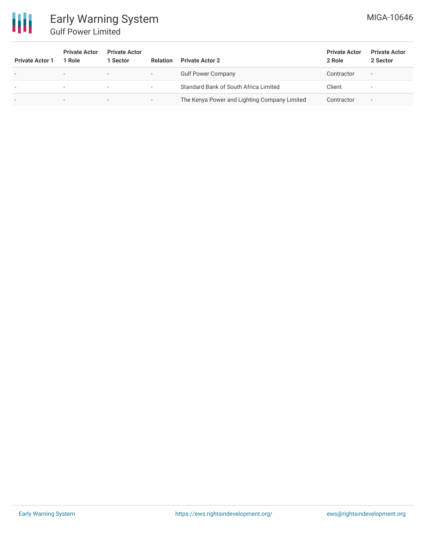

# Early Warning System Gulf Power Limited

| <b>Private Actor 1</b>   | <b>Private Actor</b><br>1 Role | <b>Private Actor</b><br>l Sector | <b>Relation</b>          | <b>Private Actor 2</b>                       | <b>Private Actor</b><br>2 Role | <b>Private Actor</b><br>2 Sector |
|--------------------------|--------------------------------|----------------------------------|--------------------------|----------------------------------------------|--------------------------------|----------------------------------|
| $\overline{\phantom{0}}$ | $\overline{\phantom{a}}$       | $\overline{\phantom{0}}$         | -                        | <b>Gulf Power Company</b>                    | Contractor                     | $\overline{\phantom{a}}$         |
| $\overline{\phantom{0}}$ | $\overline{\phantom{0}}$       | $\overline{\phantom{0}}$         | $\overline{\phantom{a}}$ | Standard Bank of South Africa Limited        | Client                         | -                                |
| $\overline{\phantom{0}}$ | $\overline{\phantom{0}}$       | $\overline{\phantom{0}}$         | $-$                      | The Kenya Power and Lighting Company Limited | Contractor                     | $\,$                             |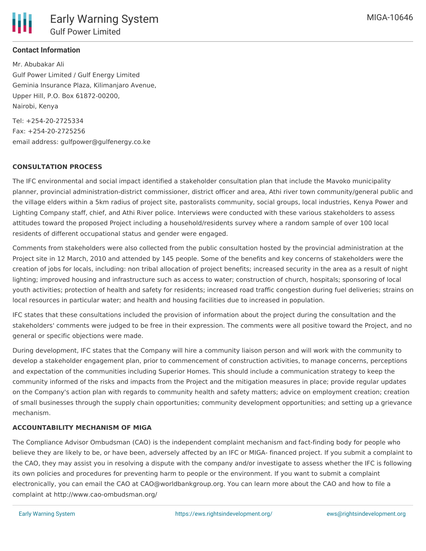

# **Contact Information**

Mr. Abubakar Ali Gulf Power Limited / Gulf Energy Limited Geminia Insurance Plaza, Kilimanjaro Avenue, Upper Hill, P.O. Box 61872-00200, Nairobi, Kenya

Tel: +254-20-2725334 Fax: +254-20-2725256 email address: gulfpower@gulfenergy.co.ke

## **CONSULTATION PROCESS**

The IFC environmental and social impact identified a stakeholder consultation plan that include the Mavoko municipality planner, provincial administration-district commissioner, district officer and area, Athi river town community/general public and the village elders within a 5km radius of project site, pastoralists community, social groups, local industries, Kenya Power and Lighting Company staff, chief, and Athi River police. Interviews were conducted with these various stakeholders to assess attitudes toward the proposed Project including a household/residents survey where a random sample of over 100 local residents of different occupational status and gender were engaged.

Comments from stakeholders were also collected from the public consultation hosted by the provincial administration at the Project site in 12 March, 2010 and attended by 145 people. Some of the benefits and key concerns of stakeholders were the creation of jobs for locals, including: non tribal allocation of project benefits; increased security in the area as a result of night lighting; improved housing and infrastructure such as access to water; construction of church, hospitals; sponsoring of local youth activities; protection of health and safety for residents; increased road traffic congestion during fuel deliveries; strains on local resources in particular water; and health and housing facilities due to increased in population.

IFC states that these consultations included the provision of information about the project during the consultation and the stakeholders' comments were judged to be free in their expression. The comments were all positive toward the Project, and no general or specific objections were made.

During development, IFC states that the Company will hire a community liaison person and will work with the community to develop a stakeholder engagement plan, prior to commencement of construction activities, to manage concerns, perceptions and expectation of the communities including Superior Homes. This should include a communication strategy to keep the community informed of the risks and impacts from the Project and the mitigation measures in place; provide regular updates on the Company's action plan with regards to community health and safety matters; advice on employment creation; creation of small businesses through the supply chain opportunities; community development opportunities; and setting up a grievance mechanism.

# **ACCOUNTABILITY MECHANISM OF MIGA**

The Compliance Advisor Ombudsman (CAO) is the independent complaint mechanism and fact-finding body for people who believe they are likely to be, or have been, adversely affected by an IFC or MIGA- financed project. If you submit a complaint to the CAO, they may assist you in resolving a dispute with the company and/or investigate to assess whether the IFC is following its own policies and procedures for preventing harm to people or the environment. If you want to submit a complaint electronically, you can email the CAO at CAO@worldbankgroup.org. You can learn more about the CAO and how to file a complaint at http://www.cao-ombudsman.org/